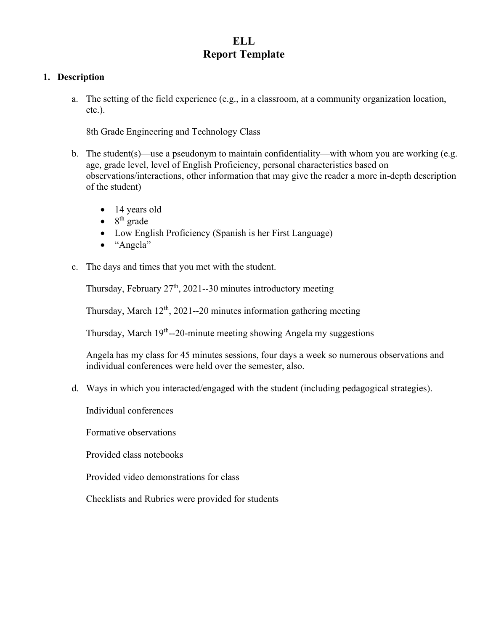## **ELL Report Template**

## **1. Description**

a. The setting of the field experience (e.g., in a classroom, at a community organization location, etc.).

8th Grade Engineering and Technology Class

- b. The student(s)—use a pseudonym to maintain confidentiality—with whom you are working (e.g. age, grade level, level of English Proficiency, personal characteristics based on observations/interactions, other information that may give the reader a more in-depth description of the student)
	- 14 years old
	- $\bullet$  8<sup>th</sup> grade
	- Low English Proficiency (Spanish is her First Language)
	- "Angela"
- c. The days and times that you met with the student.

Thursday, February  $27<sup>th</sup>$ , 2021--30 minutes introductory meeting

Thursday, March  $12<sup>th</sup>$ , 2021--20 minutes information gathering meeting

Thursday, March 19<sup>th</sup>--20-minute meeting showing Angela my suggestions

Angela has my class for 45 minutes sessions, four days a week so numerous observations and individual conferences were held over the semester, also.

d. Ways in which you interacted/engaged with the student (including pedagogical strategies).

Individual conferences

Formative observations

Provided class notebooks

Provided video demonstrations for class

Checklists and Rubrics were provided for students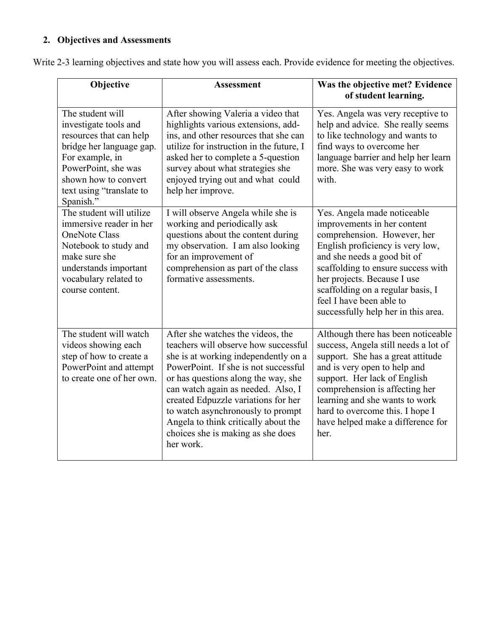## **2. Objectives and Assessments**

Write 2-3 learning objectives and state how you will assess each. Provide evidence for meeting the objectives.

| Objective                                                                                                                                                                                                   | <b>Assessment</b>                                                                                                                                                                                                                                                                                                                                                                                            | Was the objective met? Evidence<br>of student learning.                                                                                                                                                                                                                                                                                   |
|-------------------------------------------------------------------------------------------------------------------------------------------------------------------------------------------------------------|--------------------------------------------------------------------------------------------------------------------------------------------------------------------------------------------------------------------------------------------------------------------------------------------------------------------------------------------------------------------------------------------------------------|-------------------------------------------------------------------------------------------------------------------------------------------------------------------------------------------------------------------------------------------------------------------------------------------------------------------------------------------|
| The student will<br>investigate tools and<br>resources that can help<br>bridge her language gap.<br>For example, in<br>PowerPoint, she was<br>shown how to convert<br>text using "translate to<br>Spanish." | After showing Valeria a video that<br>highlights various extensions, add-<br>ins, and other resources that she can<br>utilize for instruction in the future, I<br>asked her to complete a 5-question<br>survey about what strategies she<br>enjoyed trying out and what could<br>help her improve.                                                                                                           | Yes. Angela was very receptive to<br>help and advice. She really seems<br>to like technology and wants to<br>find ways to overcome her<br>language barrier and help her learn<br>more. She was very easy to work<br>with.                                                                                                                 |
| The student will utilize<br>immersive reader in her<br><b>OneNote Class</b><br>Notebook to study and<br>make sure she<br>understands important<br>vocabulary related to<br>course content.                  | I will observe Angela while she is<br>working and periodically ask<br>questions about the content during<br>my observation. I am also looking<br>for an improvement of<br>comprehension as part of the class<br>formative assessments.                                                                                                                                                                       | Yes. Angela made noticeable<br>improvements in her content<br>comprehension. However, her<br>English proficiency is very low,<br>and she needs a good bit of<br>scaffolding to ensure success with<br>her projects. Because I use<br>scaffolding on a regular basis, I<br>feel I have been able to<br>successfully help her in this area. |
| The student will watch<br>videos showing each<br>step of how to create a<br>PowerPoint and attempt<br>to create one of her own.                                                                             | After she watches the videos, the<br>teachers will observe how successful<br>she is at working independently on a<br>PowerPoint. If she is not successful<br>or has questions along the way, she<br>can watch again as needed. Also, I<br>created Edpuzzle variations for her<br>to watch asynchronously to prompt<br>Angela to think critically about the<br>choices she is making as she does<br>her work. | Although there has been noticeable<br>success, Angela still needs a lot of<br>support. She has a great attitude<br>and is very open to help and<br>support. Her lack of English<br>comprehension is affecting her<br>learning and she wants to work<br>hard to overcome this. I hope I<br>have helped make a difference for<br>her.       |